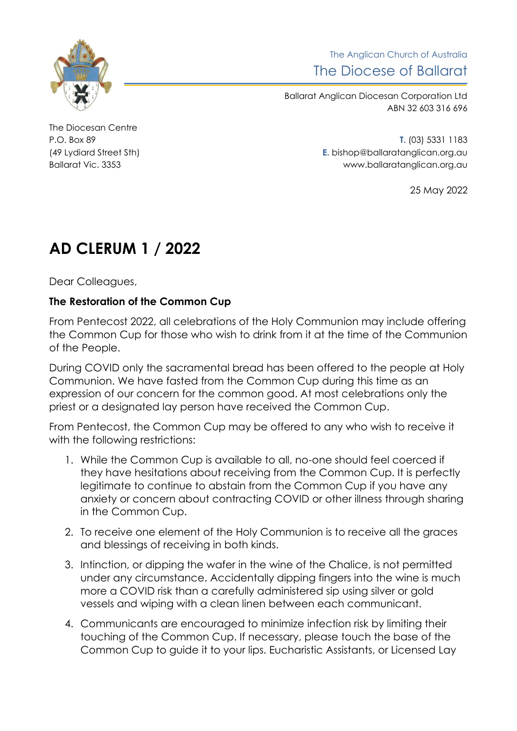

The Anglican Church of Australia The Diocese of Ballarat

Ballarat Anglican Diocesan Corporation Ltd ABN 32 603 316 696

The Diocesan Centre

P.O. Box 89 **T.** (03) 5331 1183 (49 Lydiard Street Sth) **E.** bishop@ballaratanglican.org.au Ballarat Vic. 3353 www.ballaratanglican.org.au

25 May 2022

## **AD CLERUM 1 / 2022**

Dear Colleagues,

## **The Restoration of the Common Cup**

From Pentecost 2022, all celebrations of the Holy Communion may include offering the Common Cup for those who wish to drink from it at the time of the Communion of the People.

During COVID only the sacramental bread has been offered to the people at Holy Communion. We have fasted from the Common Cup during this time as an expression of our concern for the common good. At most celebrations only the priest or a designated lay person have received the Common Cup.

From Pentecost, the Common Cup may be offered to any who wish to receive it with the following restrictions:

- 1. While the Common Cup is available to all, no-one should feel coerced if they have hesitations about receiving from the Common Cup. It is perfectly legitimate to continue to abstain from the Common Cup if you have any anxiety or concern about contracting COVID or other illness through sharing in the Common Cup.
- 2. To receive one element of the Holy Communion is to receive all the graces and blessings of receiving in both kinds.
- 3. Intinction, or dipping the wafer in the wine of the Chalice, is not permitted under any circumstance. Accidentally dipping fingers into the wine is much more a COVID risk than a carefully administered sip using silver or gold vessels and wiping with a clean linen between each communicant.
- 4. Communicants are encouraged to minimize infection risk by limiting their touching of the Common Cup. If necessary, please touch the base of the Common Cup to guide it to your lips. Eucharistic Assistants, or Licensed Lay